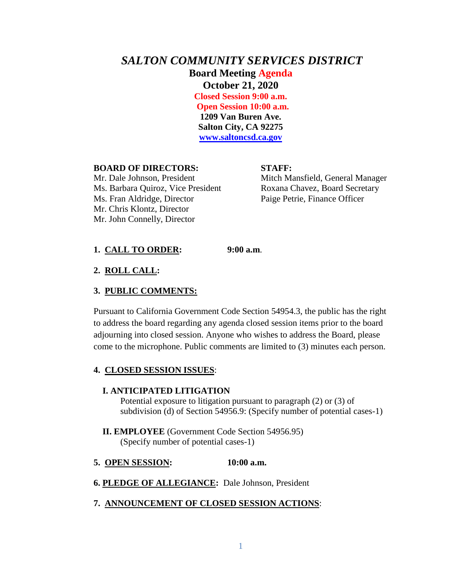# *SALTON COMMUNITY SERVICES DISTRICT* **Board Meeting Agenda October 21, 2020 Closed Session 9:00 a.m. Open Session 10:00 a.m. 1209 Van Buren Ave. Salton City, CA 92275 [www.saltoncsd.ca.gov](http://www.saltoncsd.ca.gov/)**

#### **BOARD OF DIRECTORS: STAFF:**

Mr. Dale Johnson, President Mitch Mansfield, General Manager Ms. Barbara Quiroz, Vice President Roxana Chavez, Board Secretary Ms. Fran Aldridge, Director Paige Petrie, Finance Officer Mr. Chris Klontz, Director Mr. John Connelly, Director

## **1. CALL TO ORDER: 9:00 a.m**.

#### **2. ROLL CALL:**

#### **3. PUBLIC COMMENTS:**

Pursuant to California Government Code Section 54954.3, the public has the right to address the board regarding any agenda closed session items prior to the board adjourning into closed session. Anyone who wishes to address the Board, please come to the microphone. Public comments are limited to (3) minutes each person.

#### **4. CLOSED SESSION ISSUES**:

#### **I. ANTICIPATED LITIGATION**

Potential exposure to litigation pursuant to paragraph (2) or (3) of subdivision (d) of Section 54956.9: (Specify number of potential cases-1)

 **II. EMPLOYEE** (Government Code Section 54956.95) (Specify number of potential cases-1)

#### **5. OPEN SESSION: 10:00 a.m.**

**6. PLEDGE OF ALLEGIANCE:** Dale Johnson, President

#### **7. ANNOUNCEMENT OF CLOSED SESSION ACTIONS**: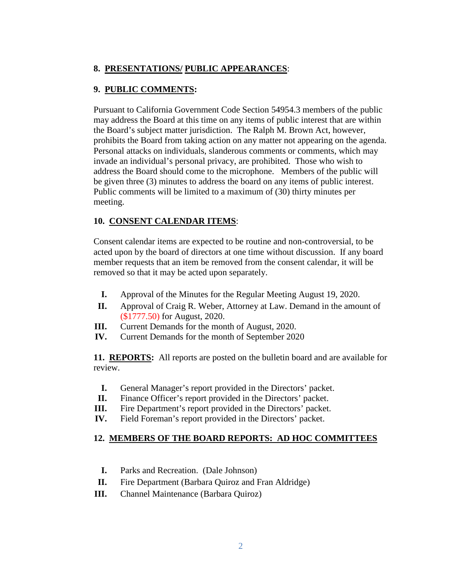# **8. PRESENTATIONS/ PUBLIC APPEARANCES**:

## **9. PUBLIC COMMENTS:**

Pursuant to California Government Code Section 54954.3 members of the public may address the Board at this time on any items of public interest that are within the Board's subject matter jurisdiction. The Ralph M. Brown Act, however, prohibits the Board from taking action on any matter not appearing on the agenda. Personal attacks on individuals, slanderous comments or comments, which may invade an individual's personal privacy, are prohibited. Those who wish to address the Board should come to the microphone. Members of the public will be given three (3) minutes to address the board on any items of public interest. Public comments will be limited to a maximum of (30) thirty minutes per meeting.

# **10. CONSENT CALENDAR ITEMS**:

Consent calendar items are expected to be routine and non-controversial, to be acted upon by the board of directors at one time without discussion. If any board member requests that an item be removed from the consent calendar, it will be removed so that it may be acted upon separately.

- **I.** Approval of the Minutes for the Regular Meeting August 19, 2020.
- **II.** Approval of Craig R. Weber, Attorney at Law. Demand in the amount of (\$1777.50) for August, 2020.
- **III.** Current Demands for the month of August, 2020.
- **IV.** Current Demands for the month of September 2020

**11. REPORTS:** All reports are posted on the bulletin board and are available for review.

- **I.** General Manager's report provided in the Directors' packet.
- **II.** Finance Officer's report provided in the Directors' packet.
- **III.** Fire Department's report provided in the Directors' packet.
- **IV.** Field Foreman's report provided in the Directors' packet.

### **12. MEMBERS OF THE BOARD REPORTS: AD HOC COMMITTEES**

- **I.** Parks and Recreation. (Dale Johnson)
- **II.** Fire Department (Barbara Quiroz and Fran Aldridge)
- **III.** Channel Maintenance (Barbara Quiroz)